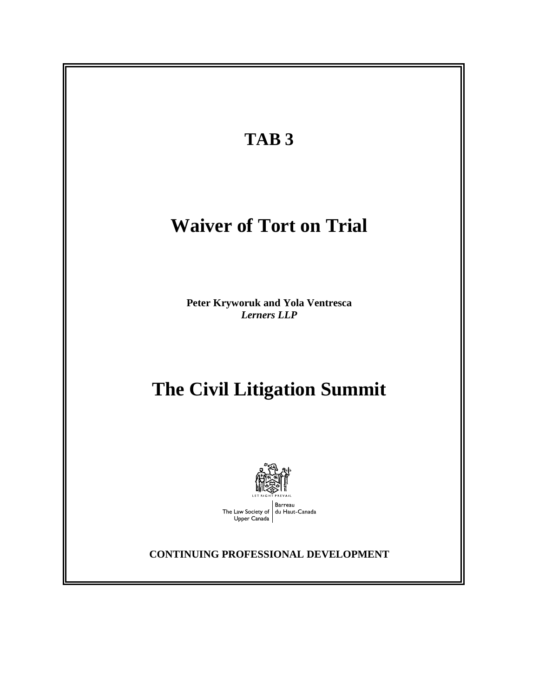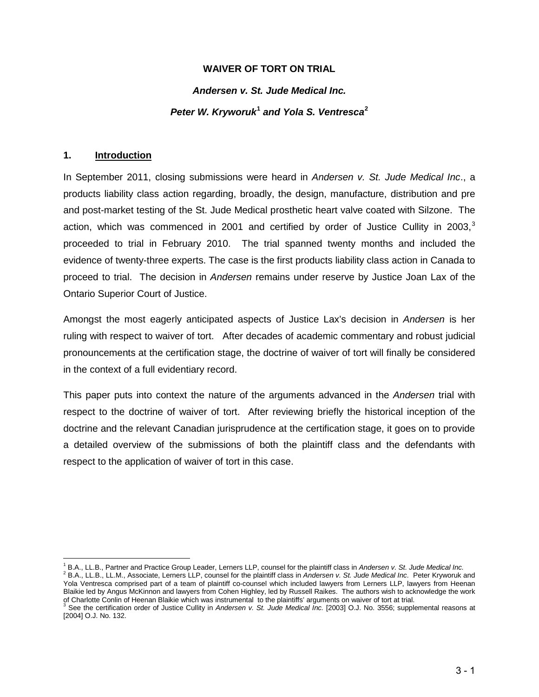### **WAIVER OF TORT ON TRIAL**

#### *Andersen v. St. Jude Medical Inc.*

### *Peter W. Kryworuk***[1](#page-1-0)** *and Yola S. Ventresca***[2](#page-1-1)**

#### **1. Introduction**

l

In September 2011, closing submissions were heard in *Andersen v. St. Jude Medical Inc*., a products liability class action regarding, broadly, the design, manufacture, distribution and pre and post-market testing of the St. Jude Medical prosthetic heart valve coated with Silzone. The action, which was commenced in 2001 and certified by order of Justice Cullity in 200[3](#page-1-2),<sup>3</sup> proceeded to trial in February 2010. The trial spanned twenty months and included the evidence of twenty-three experts. The case is the first products liability class action in Canada to proceed to trial. The decision in *Andersen* remains under reserve by Justice Joan Lax of the Ontario Superior Court of Justice.

Amongst the most eagerly anticipated aspects of Justice Lax's decision in *Andersen* is her ruling with respect to waiver of tort. After decades of academic commentary and robust judicial pronouncements at the certification stage, the doctrine of waiver of tort will finally be considered in the context of a full evidentiary record.

This paper puts into context the nature of the arguments advanced in the *Andersen* trial with respect to the doctrine of waiver of tort. After reviewing briefly the historical inception of the doctrine and the relevant Canadian jurisprudence at the certification stage, it goes on to provide a detailed overview of the submissions of both the plaintiff class and the defendants with respect to the application of waiver of tort in this case.

<span id="page-1-0"></span><sup>&</sup>lt;sup>1</sup> B.A., LL.B., Partner and Practice Group Leader, Lerners LLP, counsel for the plaintiff class in Andersen v. St. Jude Medical Inc.<br><sup>2</sup> B.A., LL.B., LL.M., Associate, Lerners LLP, counsel for the plaintiff class in Ander

<span id="page-1-1"></span>Yola Ventresca comprised part of a team of plaintiff co-counsel which included lawyers from Lerners LLP, lawyers from Heenan Blaikie led by Angus McKinnon and lawyers from Cohen Highley, led by Russell Raikes. The authors wish to acknowledge the work

<span id="page-1-2"></span>of Charlotte Conlin of Heenan Blaikie which was instrumental to the plaintiffs' arguments on waiver of tort at trial.<br><sup>3</sup> See the certification order of Justice Cullity in *Andersen v. St. Jude Medical Inc.* [2003] O.J. N [2004] O.J. No. 132.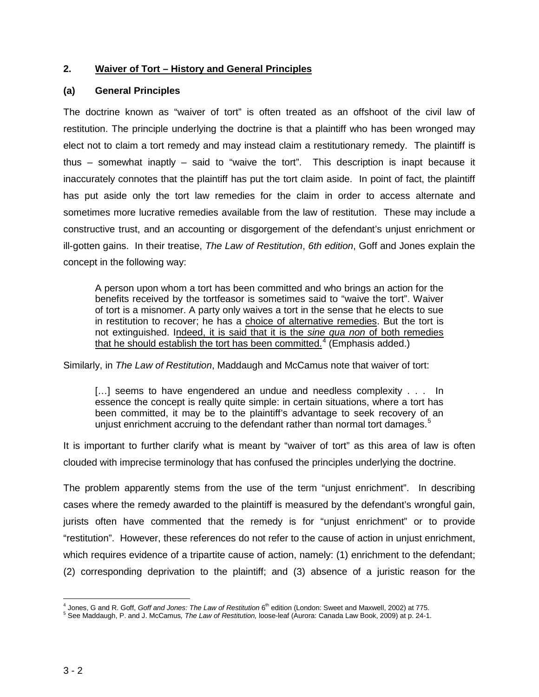### **2. Waiver of Tort – History and General Principles**

### **(a) General Principles**

The doctrine known as "waiver of tort" is often treated as an offshoot of the civil law of restitution. The principle underlying the doctrine is that a plaintiff who has been wronged may elect not to claim a tort remedy and may instead claim a restitutionary remedy. The plaintiff is thus – somewhat inaptly – said to "waive the tort". This description is inapt because it inaccurately connotes that the plaintiff has put the tort claim aside. In point of fact, the plaintiff has put aside only the tort law remedies for the claim in order to access alternate and sometimes more lucrative remedies available from the law of restitution. These may include a constructive trust, and an accounting or disgorgement of the defendant's unjust enrichment or ill-gotten gains. In their treatise, *The Law of Restitution*, *6th edition*, Goff and Jones explain the concept in the following way:

A person upon whom a tort has been committed and who brings an action for the benefits received by the tortfeasor is sometimes said to "waive the tort". Waiver of tort is a misnomer. A party only waives a tort in the sense that he elects to sue in restitution to recover; he has a choice of alternative remedies. But the tort is not extinguished. Indeed, it is said that it is the *sine qua non* of both remedies that he should establish the tort has been committed.<sup>[4](#page-2-0)</sup> (Emphasis added.)

Similarly, in *The Law of Restitution*, Maddaugh and McCamus note that waiver of tort:

[...] seems to have engendered an undue and needless complexity . . . In essence the concept is really quite simple: in certain situations, where a tort has been committed, it may be to the plaintiff's advantage to seek recovery of an unjust enrichment accruing to the defendant rather than normal tort damages.<sup>[5](#page-2-1)</sup>

It is important to further clarify what is meant by "waiver of tort" as this area of law is often clouded with imprecise terminology that has confused the principles underlying the doctrine.

The problem apparently stems from the use of the term "unjust enrichment". In describing cases where the remedy awarded to the plaintiff is measured by the defendant's wrongful gain, jurists often have commented that the remedy is for "unjust enrichment" or to provide "restitution". However, these references do not refer to the cause of action in unjust enrichment, which requires evidence of a tripartite cause of action, namely: (1) enrichment to the defendant; (2) corresponding deprivation to the plaintiff; and (3) absence of a juristic reason for the

<span id="page-2-0"></span><sup>&</sup>lt;sup>4</sup> Jones, G and R. Goff, *Goff and Jones: The Law of Restitution* 6<sup>th</sup> edition (London: Sweet and Maxwell, 2002) at 775.<br><sup>5</sup> See Maddaugh, P. and J. McCamus*, The Law of Restitution,* loose-leaf (Aurora: Canada Law Book,

<span id="page-2-1"></span>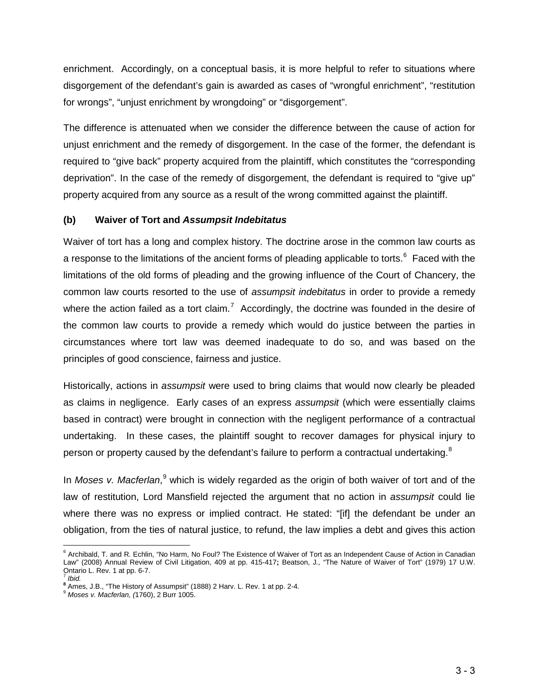enrichment. Accordingly, on a conceptual basis, it is more helpful to refer to situations where disgorgement of the defendant's gain is awarded as cases of "wrongful enrichment", "restitution for wrongs", "unjust enrichment by wrongdoing" or "disgorgement".

The difference is attenuated when we consider the difference between the cause of action for unjust enrichment and the remedy of disgorgement. In the case of the former, the defendant is required to "give back" property acquired from the plaintiff, which constitutes the "corresponding deprivation". In the case of the remedy of disgorgement, the defendant is required to "give up" property acquired from any source as a result of the wrong committed against the plaintiff.

### **(b) Waiver of Tort and** *Assumpsit Indebitatus*

Waiver of tort has a long and complex history. The doctrine arose in the common law courts as a response to the limitations of the ancient forms of pleading applicable to torts.<sup>[6](#page-3-0)</sup> Faced with the limitations of the old forms of pleading and the growing influence of the Court of Chancery, the common law courts resorted to the use of *assumpsit indebitatus* in order to provide a remedy where the action failed as a tort claim.<sup>[7](#page-3-1)</sup> Accordingly, the doctrine was founded in the desire of the common law courts to provide a remedy which would do justice between the parties in circumstances where tort law was deemed inadequate to do so, and was based on the principles of good conscience, fairness and justice.

Historically, actions in *assumpsit* were used to bring claims that would now clearly be pleaded as claims in negligence. Early cases of an express *assumpsit* (which were essentially claims based in contract) were brought in connection with the negligent performance of a contractual undertaking. In these cases, the plaintiff sought to recover damages for physical injury to person or property caused by the defendant's failure to perform a contractual undertaking.<sup>[8](#page-3-2)</sup>

In Moses v. Macferlan,<sup>[9](#page-3-3)</sup> which is widely regarded as the origin of both waiver of tort and of the law of restitution, Lord Mansfield rejected the argument that no action in *assumpsit* could lie where there was no express or implied contract. He stated: "[if] the defendant be under an obligation, from the ties of natural justice, to refund, the law implies a debt and gives this action

<span id="page-3-0"></span><sup>&</sup>lt;sup>6</sup> Archibald, T. and R. Echlin, "No Harm, No Foul? The Existence of Waiver of Tort as an Independent Cause of Action in Canadian Law" (2008) Annual Review of Civil Litigation, 409 at pp. 415-417**;** Beatson, J*.,* "The Nature of Waiver of Tort" (1979) 17 U.W. Ontario L. Rev. 1 at pp. 6-7. <sup>7</sup> *Ibid.* 

<span id="page-3-2"></span><span id="page-3-1"></span>**<sup>8</sup>** Ames, J.B., "The History of Assumpsit" (1888) 2 Harv. L. Rev. 1 at pp. 2-4.<br><sup>9</sup> *Moses v. Macferlan, (*1760), 2 Burr 1005.

<span id="page-3-3"></span>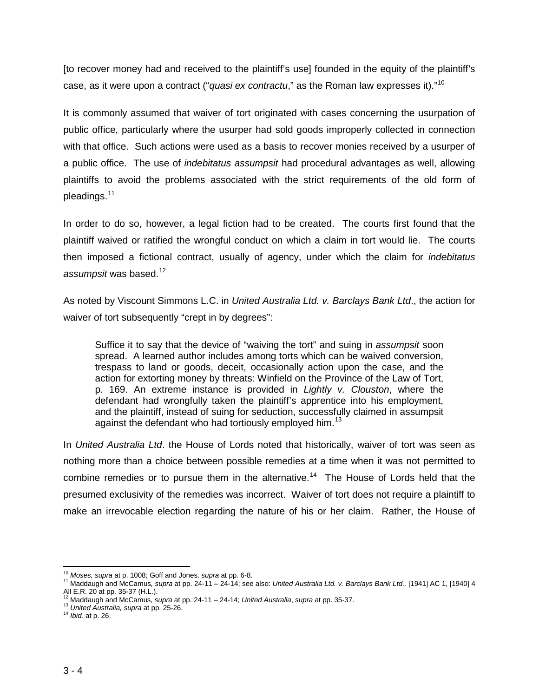[to recover money had and received to the plaintiff's use] founded in the equity of the plaintiff's case, as it were upon a contract ("*quasi ex contractu*," as the Roman law expresses it)."[10](#page-4-0)

It is commonly assumed that waiver of tort originated with cases concerning the usurpation of public office, particularly where the usurper had sold goods improperly collected in connection with that office. Such actions were used as a basis to recover monies received by a usurper of a public office. The use of *indebitatus assumpsit* had procedural advantages as well, allowing plaintiffs to avoid the problems associated with the strict requirements of the old form of pleadings.[11](#page-4-1)

In order to do so, however, a legal fiction had to be created. The courts first found that the plaintiff waived or ratified the wrongful conduct on which a claim in tort would lie. The courts then imposed a fictional contract, usually of agency, under which the claim for *indebitatus assumpsit* was based.[12](#page-4-2)

As noted by Viscount Simmons L.C. in *United Australia Ltd. v. Barclays Bank Ltd*., the action for waiver of tort subsequently "crept in by degrees":

Suffice it to say that the device of "waiving the tort" and suing in *assumpsit* soon spread. A learned author includes among torts which can be waived conversion, trespass to land or goods, deceit, occasionally action upon the case, and the action for extorting money by threats: Winfield on the Province of the Law of Tort, p. 169. An extreme instance is provided in *Lightly v. Clouston*, where the defendant had wrongfully taken the plaintiff's apprentice into his employment, and the plaintiff, instead of suing for seduction, successfully claimed in assumpsit against the defendant who had tortiously employed him.<sup>[13](#page-4-3)</sup>

In *United Australia Ltd*. the House of Lords noted that historically, waiver of tort was seen as nothing more than a choice between possible remedies at a time when it was not permitted to combine remedies or to pursue them in the alternative.<sup>14</sup> The House of Lords held that the presumed exclusivity of the remedies was incorrect. Waiver of tort does not require a plaintiff to make an irrevocable election regarding the nature of his or her claim. Rather, the House of

<span id="page-4-1"></span><span id="page-4-0"></span><sup>&</sup>lt;sup>10</sup> *Moses, supra* at p. 1008; Goff and Jones*, supra* at pp. 6-8.<br><sup>11</sup> Maddaugh and McCamus*, supra* at pp. 24-11 – 24-14; see also: *United Australia Ltd. v. Barclays Bank Ltd.,* [1941] AC 1, [1940] 4 All E.R. 20 at pp. 35-37 (H.L.).<br>
<sup>12</sup> Maddaugh and McCamus, *supra* at pp. 24-11 – 24-14; *United Australia*, *supra* at pp. 35-37.<br>
<sup>13</sup> *United Australia*, *supra* at pp. 25-26.<br>
<sup>14</sup> *Ibid.* at p. 26.

<span id="page-4-3"></span><span id="page-4-2"></span>

<span id="page-4-4"></span>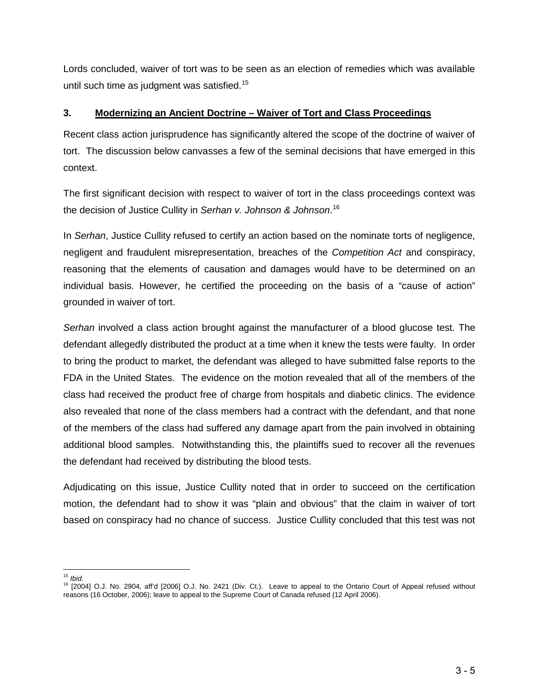Lords concluded, waiver of tort was to be seen as an election of remedies which was available until such time as judgment was satisfied.<sup>[15](#page-5-0)</sup>

### **3. Modernizing an Ancient Doctrine – Waiver of Tort and Class Proceedings**

Recent class action jurisprudence has significantly altered the scope of the doctrine of waiver of tort. The discussion below canvasses a few of the seminal decisions that have emerged in this context.

The first significant decision with respect to waiver of tort in the class proceedings context was the decision of Justice Cullity in *Serhan v. Johnson & Johnson*. [16](#page-5-1) 

In *Serhan*, Justice Cullity refused to certify an action based on the nominate torts of negligence, negligent and fraudulent misrepresentation, breaches of the *Competition Act* and conspiracy, reasoning that the elements of causation and damages would have to be determined on an individual basis. However, he certified the proceeding on the basis of a "cause of action" grounded in waiver of tort.

*Serhan* involved a class action brought against the manufacturer of a blood glucose test. The defendant allegedly distributed the product at a time when it knew the tests were faulty. In order to bring the product to market, the defendant was alleged to have submitted false reports to the FDA in the United States. The evidence on the motion revealed that all of the members of the class had received the product free of charge from hospitals and diabetic clinics. The evidence also revealed that none of the class members had a contract with the defendant, and that none of the members of the class had suffered any damage apart from the pain involved in obtaining additional blood samples. Notwithstanding this, the plaintiffs sued to recover all the revenues the defendant had received by distributing the blood tests.

Adjudicating on this issue, Justice Cullity noted that in order to succeed on the certification motion, the defendant had to show it was "plain and obvious" that the claim in waiver of tort based on conspiracy had no chance of success. Justice Cullity concluded that this test was not

<span id="page-5-0"></span> $15$  Ibid.

<span id="page-5-1"></span><sup>15</sup> *Ibid.* <sup>16</sup> [2004] O.J. No. 2904, aff'd [2006] O.J. No. 2421 (Div. Ct.). Leave to appeal to the Ontario Court of Appeal refused without reasons (16 October, 2006); leave to appeal to the Supreme Court of Canada refused (12 April 2006).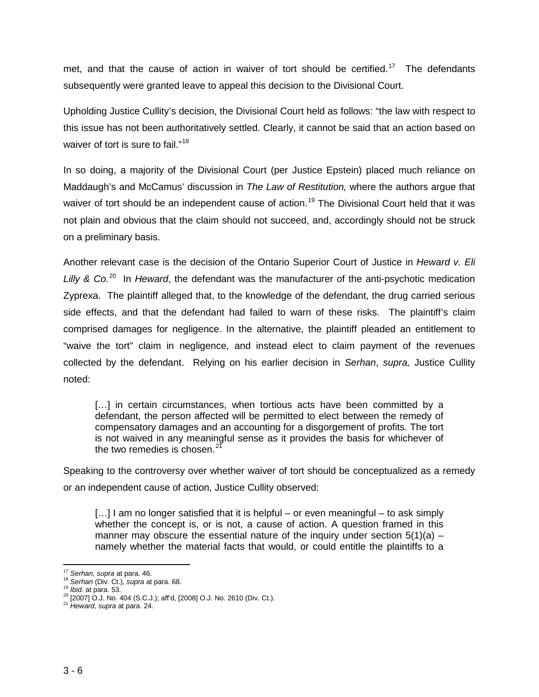met, and that the cause of action in waiver of tort should be certified.<sup>[17](#page-6-0)</sup> The defendants subsequently were granted leave to appeal this decision to the Divisional Court.

Upholding Justice Cullity's decision, the Divisional Court held as follows: "the law with respect to this issue has not been authoritatively settled. Clearly, it cannot be said that an action based on waiver of tort is sure to fail."<sup>18</sup>

In so doing, a majority of the Divisional Court (per Justice Epstein) placed much reliance on Maddaugh's and McCamus' discussion in *The Law of Restitution,* where the authors argue that waiver of tort should be an independent cause of action.<sup>19</sup> The Divisional Court held that it was not plain and obvious that the claim should not succeed, and, accordingly should not be struck on a preliminary basis.

Another relevant case is the decision of the Ontario Superior Court of Justice in *Heward v. Eli*  Lilly & Co.<sup>20</sup> In *Heward*, the defendant was the manufacturer of the anti-psychotic medication Zyprexa. The plaintiff alleged that, to the knowledge of the defendant, the drug carried serious side effects, and that the defendant had failed to warn of these risks. The plaintiff's claim comprised damages for negligence. In the alternative, the plaintiff pleaded an entitlement to "waive the tort" claim in negligence, and instead elect to claim payment of the revenues collected by the defendant. Relying on his earlier decision in *Serhan*, *supra,* Justice Cullity noted:

[...] in certain circumstances, when tortious acts have been committed by a defendant, the person affected will be permitted to elect between the remedy of compensatory damages and an accounting for a disgorgement of profits. The tort is not waived in any meaningful sense as it provides the basis for whichever of the two remedies is chosen. $21$ 

Speaking to the controversy over whether waiver of tort should be conceptualized as a remedy or an independent cause of action, Justice Cullity observed:

[...] I am no longer satisfied that it is helpful – or even meaningful – to ask simply whether the concept is, or is not, a cause of action. A question framed in this manner may obscure the essential nature of the inquiry under section  $5(1)(a)$  – namely whether the material facts that would, or could entitle the plaintiffs to a

<span id="page-6-2"></span>

<span id="page-6-1"></span><span id="page-6-0"></span><sup>&</sup>lt;sup>17</sup> Serhan, supra at para. 46.<br><sup>18</sup> Serhan (Div. Ct.), supra at para. 68.<br><sup>19</sup> Ibid. at para. 53.<br><sup>20</sup> [2007] O.J. No. 404 (S.C.J.); aff<sup>1</sup>d, [2008] O.J. No. 2610 (Div. Ct.).<br><sup>21</sup> Heward, supra at para. 24.

<span id="page-6-4"></span><span id="page-6-3"></span>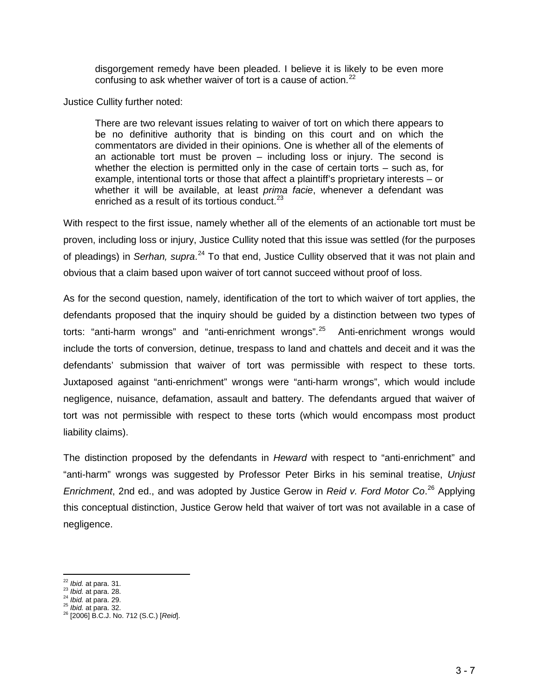disgorgement remedy have been pleaded. I believe it is likely to be even more confusing to ask whether waiver of tort is a cause of action. $^{22}$  $^{22}$  $^{22}$ 

Justice Cullity further noted:

There are two relevant issues relating to waiver of tort on which there appears to be no definitive authority that is binding on this court and on which the commentators are divided in their opinions. One is whether all of the elements of an actionable tort must be proven – including loss or injury. The second is whether the election is permitted only in the case of certain torts – such as, for example, intentional torts or those that affect a plaintiff's proprietary interests – or whether it will be available, at least *prima facie*, whenever a defendant was enriched as a result of its tortious conduct. $^{23}$  $^{23}$  $^{23}$ 

With respect to the first issue, namely whether all of the elements of an actionable tort must be proven, including loss or injury, Justice Cullity noted that this issue was settled (for the purposes of pleadings) in Serhan, supra.<sup>[24](#page-7-2)</sup> To that end, Justice Cullity observed that it was not plain and obvious that a claim based upon waiver of tort cannot succeed without proof of loss.

As for the second question, namely, identification of the tort to which waiver of tort applies, the defendants proposed that the inquiry should be guided by a distinction between two types of torts: "anti-harm wrongs" and "anti-enrichment wrongs".<sup>25</sup> Anti-enrichment wrongs would include the torts of conversion, detinue, trespass to land and chattels and deceit and it was the defendants' submission that waiver of tort was permissible with respect to these torts. Juxtaposed against "anti-enrichment" wrongs were "anti-harm wrongs", which would include negligence, nuisance, defamation, assault and battery. The defendants argued that waiver of tort was not permissible with respect to these torts (which would encompass most product liability claims).

The distinction proposed by the defendants in *Heward* with respect to "anti-enrichment" and "anti-harm" wrongs was suggested by Professor Peter Birks in his seminal treatise, *Unjust Enrichment*, 2nd ed., and was adopted by Justice Gerow in *Reid v. Ford Motor Co*. [26](#page-7-4) Applying this conceptual distinction, Justice Gerow held that waiver of tort was not available in a case of negligence.

<span id="page-7-2"></span>

<span id="page-7-4"></span><span id="page-7-3"></span>

<span id="page-7-1"></span><span id="page-7-0"></span><sup>22</sup> *Ibid.* at para. 31. 23 *Ibid.* at para. 28. 24 *Ibid.* at para. 29. 25 *Ibid.* at para. 32. 26 [2006] B.C.J. No. 712 (S.C.) [*Reid*].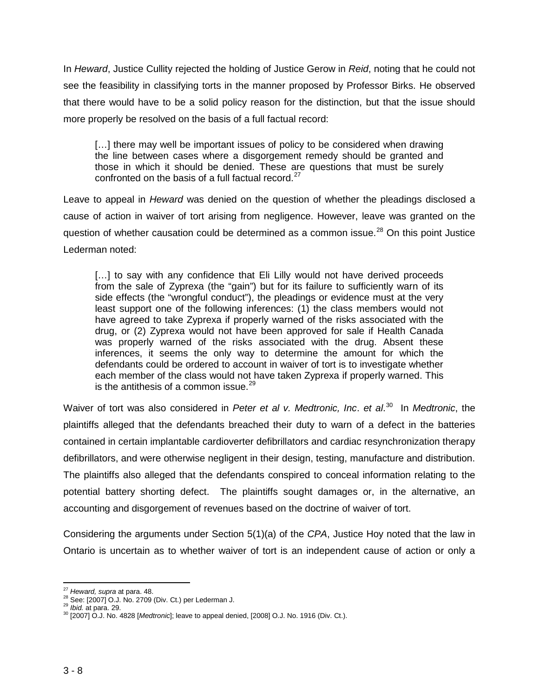In *Heward*, Justice Cullity rejected the holding of Justice Gerow in *Reid*, noting that he could not see the feasibility in classifying torts in the manner proposed by Professor Birks. He observed that there would have to be a solid policy reason for the distinction, but that the issue should more properly be resolved on the basis of a full factual record:

[...] there may well be important issues of policy to be considered when drawing the line between cases where a disgorgement remedy should be granted and those in which it should be denied. These are questions that must be surely confronted on the basis of a full factual record.<sup>27</sup>

Leave to appeal in *Heward* was denied on the question of whether the pleadings disclosed a cause of action in waiver of tort arising from negligence. However, leave was granted on the question of whether causation could be determined as a common issue.<sup>[28](#page-8-1)</sup> On this point Justice Lederman noted:

[...] to say with any confidence that Eli Lilly would not have derived proceeds from the sale of Zyprexa (the "gain") but for its failure to sufficiently warn of its side effects (the "wrongful conduct"), the pleadings or evidence must at the very least support one of the following inferences: (1) the class members would not have agreed to take Zyprexa if properly warned of the risks associated with the drug, or (2) Zyprexa would not have been approved for sale if Health Canada was properly warned of the risks associated with the drug. Absent these inferences, it seems the only way to determine the amount for which the defendants could be ordered to account in waiver of tort is to investigate whether each member of the class would not have taken Zyprexa if properly warned. This is the antithesis of a common issue. $^{29}$ 

Waiver of tort was also considered in *Peter et al v. Medtronic, Inc*. *et al*. [30](#page-8-3)In *Medtronic*, the plaintiffs alleged that the defendants breached their duty to warn of a defect in the batteries contained in certain implantable cardioverter defibrillators and cardiac resynchronization therapy defibrillators, and were otherwise negligent in their design, testing, manufacture and distribution. The plaintiffs also alleged that the defendants conspired to conceal information relating to the potential battery shorting defect. The plaintiffs sought damages or, in the alternative, an accounting and disgorgement of revenues based on the doctrine of waiver of tort.

Considering the arguments under Section 5(1)(a) of the *CPA*, Justice Hoy noted that the law in Ontario is uncertain as to whether waiver of tort is an independent cause of action or only a

<sup>&</sup>lt;sup>27</sup> Heward, supra at para. 48.

<span id="page-8-3"></span>

<span id="page-8-2"></span><span id="page-8-1"></span><span id="page-8-0"></span><sup>&</sup>lt;sup>28</sup> See: [2007] O.J. No. 2709 (Div. Ct.) per Lederman J.<br><sup>29</sup> *Ibid.* at para. 29. 30 *Ibid.* at para. 29. 30 *Ibid.* at para. 29. 30 *Ibid.* at para. 29. 30 *IDid.* at para. 29.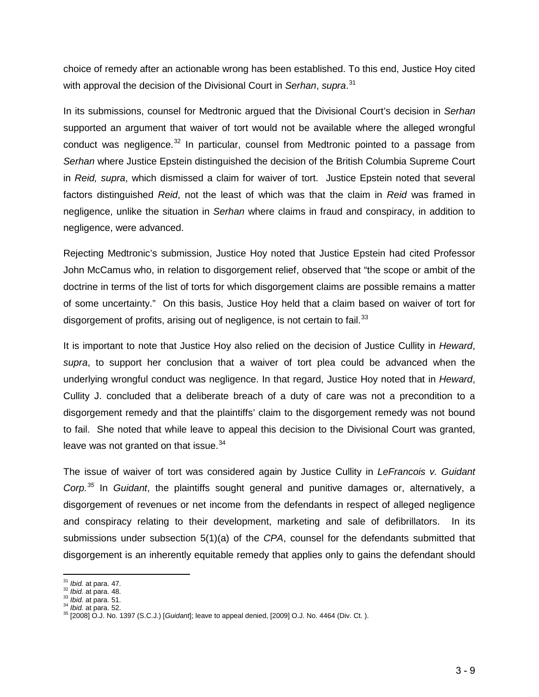choice of remedy after an actionable wrong has been established. To this end, Justice Hoy cited with approval the decision of the Divisional Court in *Serhan*, *supra*. [31](#page-9-0)

In its submissions, counsel for Medtronic argued that the Divisional Court's decision in *Serhan*  supported an argument that waiver of tort would not be available where the alleged wrongful conduct was negligence. $32$  In particular, counsel from Medtronic pointed to a passage from *Serhan* where Justice Epstein distinguished the decision of the British Columbia Supreme Court in *Reid, supra*, which dismissed a claim for waiver of tort. Justice Epstein noted that several factors distinguished *Reid*, not the least of which was that the claim in *Reid* was framed in negligence, unlike the situation in *Serhan* where claims in fraud and conspiracy, in addition to negligence, were advanced.

Rejecting Medtronic's submission, Justice Hoy noted that Justice Epstein had cited Professor John McCamus who, in relation to disgorgement relief, observed that "the scope or ambit of the doctrine in terms of the list of torts for which disgorgement claims are possible remains a matter of some uncertainty." On this basis, Justice Hoy held that a claim based on waiver of tort for disgorgement of profits, arising out of negligence, is not certain to fail.  $33$ 

It is important to note that Justice Hoy also relied on the decision of Justice Cullity in *Heward*, *supra*, to support her conclusion that a waiver of tort plea could be advanced when the underlying wrongful conduct was negligence. In that regard, Justice Hoy noted that in *Heward*, Cullity J. concluded that a deliberate breach of a duty of care was not a precondition to a disgorgement remedy and that the plaintiffs' claim to the disgorgement remedy was not bound to fail. She noted that while leave to appeal this decision to the Divisional Court was granted, leave was not granted on that issue.<sup>[34](#page-9-3)</sup>

The issue of waiver of tort was considered again by Justice Cullity in *LeFrancois v. Guidant Corp.[35](#page-9-4)* In *Guidant*, the plaintiffs sought general and punitive damages or, alternatively, a disgorgement of revenues or net income from the defendants in respect of alleged negligence and conspiracy relating to their development, marketing and sale of defibrillators. In its submissions under subsection 5(1)(a) of the *CPA*, counsel for the defendants submitted that disgorgement is an inherently equitable remedy that applies only to gains the defendant should

<span id="page-9-0"></span> $\frac{31}{32}$  *lbid.* at para. 47.<br> $\frac{32}{32}$  *lbid.* at para. 48.

<span id="page-9-4"></span><span id="page-9-3"></span>

<span id="page-9-2"></span><span id="page-9-1"></span><sup>31</sup> *Ibid.* at para. 47. 32 *Ibid.* at para. 48. 33 *Ibid.* at para. 51. 34 *Ibid.* at para. 52. 35 [2008] O.J. No. 1397 (S.C.J.) [*Guidant*]; leave to appeal denied, [2009] O.J. No. 4464 (Div. Ct. ).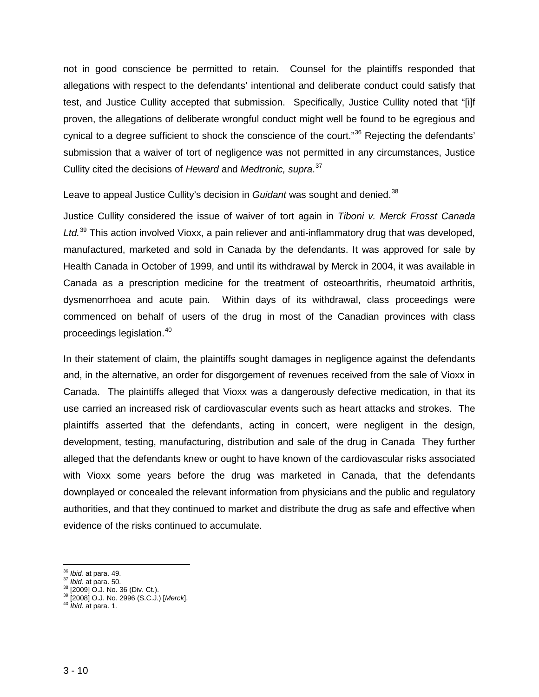not in good conscience be permitted to retain. Counsel for the plaintiffs responded that allegations with respect to the defendants' intentional and deliberate conduct could satisfy that test, and Justice Cullity accepted that submission. Specifically, Justice Cullity noted that "[i]f proven, the allegations of deliberate wrongful conduct might well be found to be egregious and cynical to a degree sufficient to shock the conscience of the court."<sup>[36](#page-10-0)</sup> Rejecting the defendants' submission that a waiver of tort of negligence was not permitted in any circumstances, Justice Cullity cited the decisions of *Heward* and *Medtronic, supra*. [37](#page-10-1)

Leave to appeal Justice Cullity's decision in *Guidant* was sought and denied. [38](#page-10-2)

Justice Cullity considered the issue of waiver of tort again in *Tiboni v. Merck Frosst Canada Ltd.*[39](#page-10-3) This action involved Vioxx, a pain reliever and anti-inflammatory drug that was developed, manufactured, marketed and sold in Canada by the defendants. It was approved for sale by Health Canada in October of 1999, and until its withdrawal by Merck in 2004, it was available in Canada as a prescription medicine for the treatment of osteoarthritis, rheumatoid arthritis, dysmenorrhoea and acute pain. Within days of its withdrawal, class proceedings were commenced on behalf of users of the drug in most of the Canadian provinces with class proceedings legislation.[40](#page-10-4)

In their statement of claim, the plaintiffs sought damages in negligence against the defendants and, in the alternative, an order for disgorgement of revenues received from the sale of Vioxx in Canada. The plaintiffs alleged that Vioxx was a dangerously defective medication, in that its use carried an increased risk of cardiovascular events such as heart attacks and strokes. The plaintiffs asserted that the defendants, acting in concert, were negligent in the design, development, testing, manufacturing, distribution and sale of the drug in Canada They further alleged that the defendants knew or ought to have known of the cardiovascular risks associated with Vioxx some years before the drug was marketed in Canada, that the defendants downplayed or concealed the relevant information from physicians and the public and regulatory authorities, and that they continued to market and distribute the drug as safe and effective when evidence of the risks continued to accumulate.

<span id="page-10-2"></span>

<span id="page-10-1"></span><span id="page-10-0"></span><sup>&</sup>lt;sup>36</sup> *Ibid.* at para. 49.<br><sup>37</sup> *Ibid.* at para. 50.<br><sup>38</sup> [2009] O.J. No. 36 (Div. Ct.).<br><sup>39</sup> [2008] O.J. No. 2996 (S.C.J.) [*Merck*].<br><sup>40</sup> *Ibid.* at para. 1.

<span id="page-10-4"></span><span id="page-10-3"></span>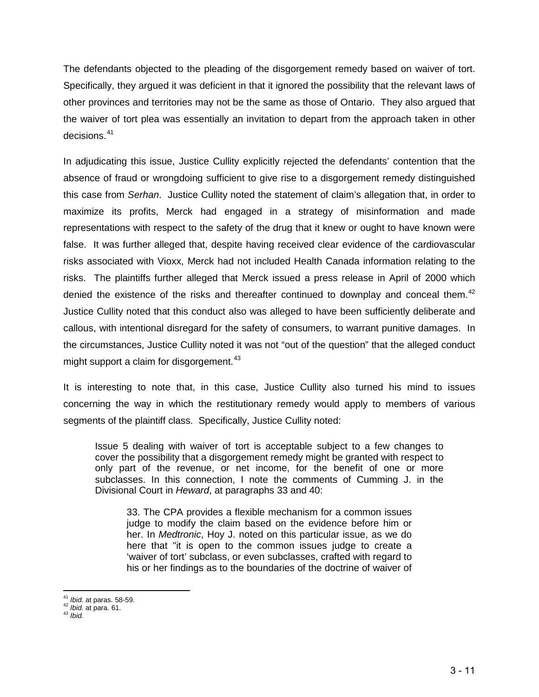The defendants objected to the pleading of the disgorgement remedy based on waiver of tort. Specifically, they argued it was deficient in that it ignored the possibility that the relevant laws of other provinces and territories may not be the same as those of Ontario. They also argued that the waiver of tort plea was essentially an invitation to depart from the approach taken in other decisions.[41](#page-11-0)

In adjudicating this issue, Justice Cullity explicitly rejected the defendants' contention that the absence of fraud or wrongdoing sufficient to give rise to a disgorgement remedy distinguished this case from *Serhan*. Justice Cullity noted the statement of claim's allegation that, in order to maximize its profits, Merck had engaged in a strategy of misinformation and made representations with respect to the safety of the drug that it knew or ought to have known were false. It was further alleged that, despite having received clear evidence of the cardiovascular risks associated with Vioxx, Merck had not included Health Canada information relating to the risks. The plaintiffs further alleged that Merck issued a press release in April of 2000 which denied the existence of the risks and thereafter continued to downplay and conceal them.<sup>[42](#page-11-1)</sup> Justice Cullity noted that this conduct also was alleged to have been sufficiently deliberate and callous, with intentional disregard for the safety of consumers, to warrant punitive damages. In the circumstances, Justice Cullity noted it was not "out of the question" that the alleged conduct might support a claim for disgorgement.<sup>[43](#page-11-2)</sup>

It is interesting to note that, in this case, Justice Cullity also turned his mind to issues concerning the way in which the restitutionary remedy would apply to members of various segments of the plaintiff class. Specifically, Justice Cullity noted:

Issue 5 dealing with waiver of tort is acceptable subject to a few changes to cover the possibility that a disgorgement remedy might be granted with respect to only part of the revenue, or net income, for the benefit of one or more subclasses. In this connection, I note the comments of Cumming J. in the Divisional Court in *Heward*, at paragraphs 33 and 40:

33. The CPA provides a flexible mechanism for a common issues judge to modify the claim based on the evidence before him or her. In *Medtronic*, Hoy J. noted on this particular issue, as we do here that "it is open to the common issues judge to create a 'waiver of tort' subclass, or even subclasses, crafted with regard to his or her findings as to the boundaries of the doctrine of waiver of

<span id="page-11-1"></span><span id="page-11-0"></span><sup>41</sup> *Ibid.* at paras. 58-59. 42 *Ibid.* at para. 61. 43 *Ibid.*

<span id="page-11-2"></span>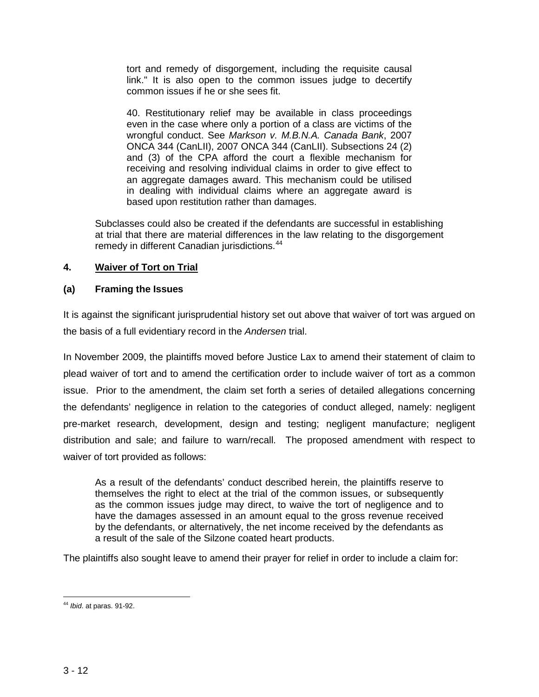tort and remedy of disgorgement, including the requisite causal link." It is also open to the common issues judge to decertify common issues if he or she sees fit.

40. Restitutionary relief may be available in class proceedings even in the case where only a portion of a class are victims of the wrongful conduct. See *Markson v. M.B.N.A. Canada Bank*, 2007 ONCA 344 (CanLII), 2007 ONCA 344 (CanLII). Subsections 24 (2) and (3) of the CPA afford the court a flexible mechanism for receiving and resolving individual claims in order to give effect to an aggregate damages award. This mechanism could be utilised in dealing with individual claims where an aggregate award is based upon restitution rather than damages.

Subclasses could also be created if the defendants are successful in establishing at trial that there are material differences in the law relating to the disgorgement remedy in different Canadian jurisdictions.<sup>[44](#page-12-0)</sup>

# **4. Waiver of Tort on Trial**

# **(a) Framing the Issues**

It is against the significant jurisprudential history set out above that waiver of tort was argued on the basis of a full evidentiary record in the *Andersen* trial.

In November 2009, the plaintiffs moved before Justice Lax to amend their statement of claim to plead waiver of tort and to amend the certification order to include waiver of tort as a common issue. Prior to the amendment, the claim set forth a series of detailed allegations concerning the defendants' negligence in relation to the categories of conduct alleged, namely: negligent pre-market research, development, design and testing; negligent manufacture; negligent distribution and sale; and failure to warn/recall. The proposed amendment with respect to waiver of tort provided as follows:

As a result of the defendants' conduct described herein, the plaintiffs reserve to themselves the right to elect at the trial of the common issues, or subsequently as the common issues judge may direct, to waive the tort of negligence and to have the damages assessed in an amount equal to the gross revenue received by the defendants, or alternatively, the net income received by the defendants as a result of the sale of the Silzone coated heart products.

The plaintiffs also sought leave to amend their prayer for relief in order to include a claim for:

<span id="page-12-0"></span>l <sup>44</sup> *Ibid*. at paras. 91-92.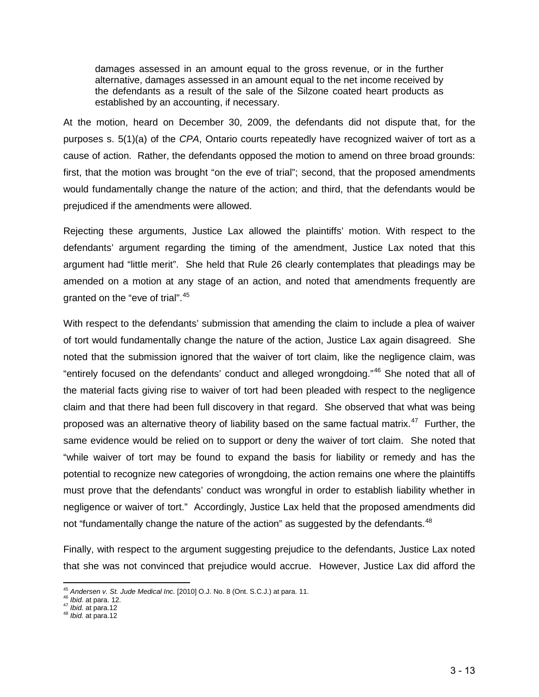damages assessed in an amount equal to the gross revenue, or in the further alternative, damages assessed in an amount equal to the net income received by the defendants as a result of the sale of the Silzone coated heart products as established by an accounting, if necessary.

At the motion, heard on December 30, 2009, the defendants did not dispute that, for the purposes s. 5(1)(a) of the *CPA*, Ontario courts repeatedly have recognized waiver of tort as a cause of action. Rather, the defendants opposed the motion to amend on three broad grounds: first, that the motion was brought "on the eve of trial"; second, that the proposed amendments would fundamentally change the nature of the action; and third, that the defendants would be prejudiced if the amendments were allowed.

Rejecting these arguments, Justice Lax allowed the plaintiffs' motion. With respect to the defendants' argument regarding the timing of the amendment, Justice Lax noted that this argument had "little merit". She held that Rule 26 clearly contemplates that pleadings may be amended on a motion at any stage of an action, and noted that amendments frequently are granted on the "eve of trial".[45](#page-13-0)

With respect to the defendants' submission that amending the claim to include a plea of waiver of tort would fundamentally change the nature of the action, Justice Lax again disagreed. She noted that the submission ignored that the waiver of tort claim, like the negligence claim, was "entirely focused on the defendants' conduct and alleged wrongdoing."[46](#page-13-1) She noted that all of the material facts giving rise to waiver of tort had been pleaded with respect to the negligence claim and that there had been full discovery in that regard. She observed that what was being proposed was an alternative theory of liability based on the same factual matrix.<sup>[47](#page-13-2)</sup> Further, the same evidence would be relied on to support or deny the waiver of tort claim. She noted that "while waiver of tort may be found to expand the basis for liability or remedy and has the potential to recognize new categories of wrongdoing, the action remains one where the plaintiffs must prove that the defendants' conduct was wrongful in order to establish liability whether in negligence or waiver of tort." Accordingly, Justice Lax held that the proposed amendments did not "fundamentally change the nature of the action" as suggested by the defendants.<sup>[48](#page-13-3)</sup>

Finally, with respect to the argument suggesting prejudice to the defendants, Justice Lax noted that she was not convinced that prejudice would accrue. However, Justice Lax did afford the

<span id="page-13-1"></span><span id="page-13-0"></span><sup>&</sup>lt;sup>45</sup> *Andersen v. St. Jude Medical Inc.* [2010] O.J. No. 8 (Ont. S.C.J.) at para. 11.<br><sup>46</sup> *Ibid.* at para. 12.<br><sup>47</sup> *Ibid.* at para.12<br><sup>48</sup> *Ibid.* at para.12

<span id="page-13-2"></span>

<span id="page-13-3"></span>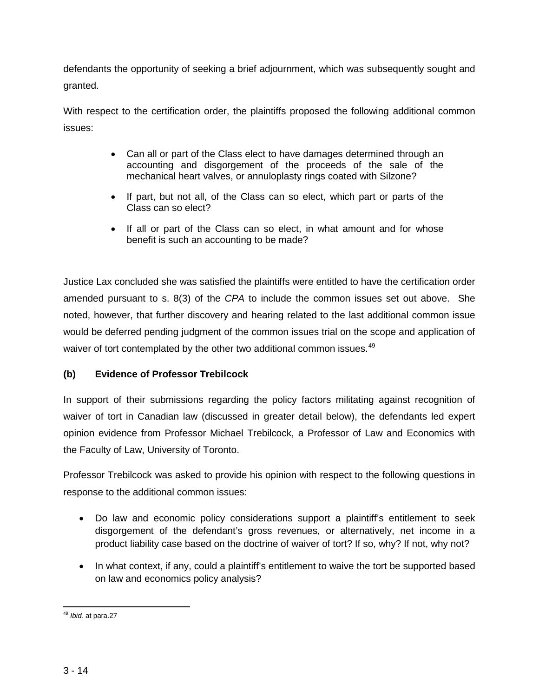defendants the opportunity of seeking a brief adjournment, which was subsequently sought and granted.

With respect to the certification order, the plaintiffs proposed the following additional common issues:

- Can all or part of the Class elect to have damages determined through an accounting and disgorgement of the proceeds of the sale of the mechanical heart valves, or annuloplasty rings coated with Silzone?
- If part, but not all, of the Class can so elect, which part or parts of the Class can so elect?
- If all or part of the Class can so elect, in what amount and for whose benefit is such an accounting to be made?

Justice Lax concluded she was satisfied the plaintiffs were entitled to have the certification order amended pursuant to s. 8(3) of the *CPA* to include the common issues set out above. She noted, however, that further discovery and hearing related to the last additional common issue would be deferred pending judgment of the common issues trial on the scope and application of waiver of tort contemplated by the other two additional common issues.<sup>[49](#page-14-0)</sup>

# **(b) Evidence of Professor Trebilcock**

In support of their submissions regarding the policy factors militating against recognition of waiver of tort in Canadian law (discussed in greater detail below), the defendants led expert opinion evidence from Professor Michael Trebilcock, a Professor of Law and Economics with the Faculty of Law, University of Toronto.

Professor Trebilcock was asked to provide his opinion with respect to the following questions in response to the additional common issues:

- Do law and economic policy considerations support a plaintiff's entitlement to seek disgorgement of the defendant's gross revenues, or alternatively, net income in a product liability case based on the doctrine of waiver of tort? If so, why? If not, why not?
- In what context, if any, could a plaintiff's entitlement to waive the tort be supported based on law and economics policy analysis?

<span id="page-14-0"></span>l <sup>49</sup> *Ibid.* at para.27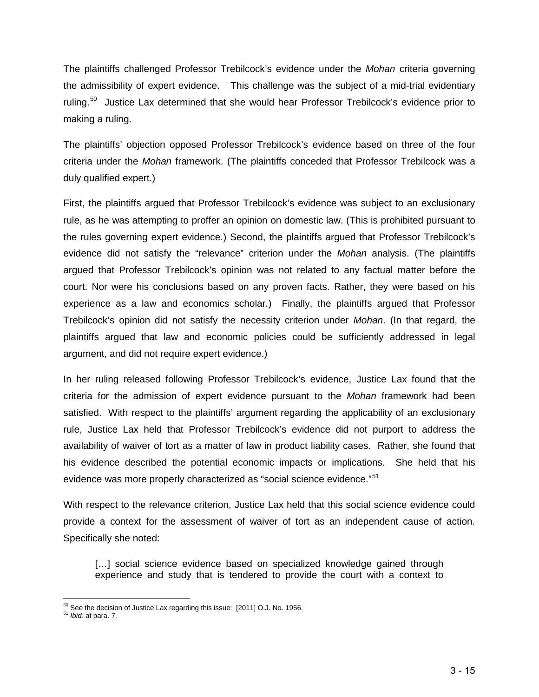The plaintiffs challenged Professor Trebilcock's evidence under the *Mohan* criteria governing the admissibility of expert evidence. This challenge was the subject of a mid-trial evidentiary ruling.<sup>[50](#page-15-0)</sup> Justice Lax determined that she would hear Professor Trebilcock's evidence prior to making a ruling.

The plaintiffs' objection opposed Professor Trebilcock's evidence based on three of the four criteria under the *Mohan* framework. (The plaintiffs conceded that Professor Trebilcock was a duly qualified expert.)

First, the plaintiffs argued that Professor Trebilcock's evidence was subject to an exclusionary rule, as he was attempting to proffer an opinion on domestic law. (This is prohibited pursuant to the rules governing expert evidence.) Second, the plaintiffs argued that Professor Trebilcock's evidence did not satisfy the "relevance" criterion under the *Mohan* analysis. (The plaintiffs argued that Professor Trebilcock's opinion was not related to any factual matter before the court. Nor were his conclusions based on any proven facts. Rather, they were based on his experience as a law and economics scholar.) Finally, the plaintiffs argued that Professor Trebilcock's opinion did not satisfy the necessity criterion under *Mohan*. (In that regard, the plaintiffs argued that law and economic policies could be sufficiently addressed in legal argument, and did not require expert evidence.)

In her ruling released following Professor Trebilcock's evidence, Justice Lax found that the criteria for the admission of expert evidence pursuant to the *Mohan* framework had been satisfied. With respect to the plaintiffs' argument regarding the applicability of an exclusionary rule, Justice Lax held that Professor Trebilcock's evidence did not purport to address the availability of waiver of tort as a matter of law in product liability cases. Rather, she found that his evidence described the potential economic impacts or implications. She held that his evidence was more properly characterized as "social science evidence."<sup>51</sup>

With respect to the relevance criterion, Justice Lax held that this social science evidence could provide a context for the assessment of waiver of tort as an independent cause of action. Specifically she noted:

[...] social science evidence based on specialized knowledge gained through experience and study that is tendered to provide the court with a context to

<span id="page-15-0"></span><sup>&</sup>lt;sup>50</sup> See the decision of Justice Lax regarding this issue: [2011] O.J. No. 1956.<br><sup>51</sup> *Ibid.* at para. 7.

<span id="page-15-1"></span>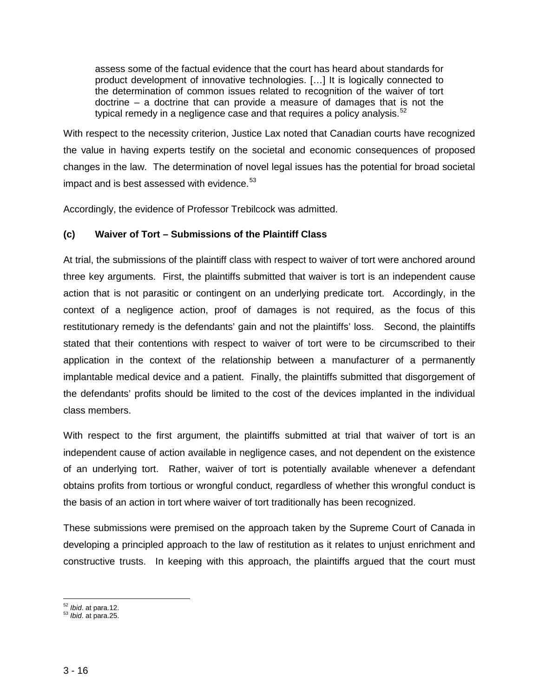assess some of the factual evidence that the court has heard about standards for product development of innovative technologies. […] It is logically connected to the determination of common issues related to recognition of the waiver of tort doctrine – a doctrine that can provide a measure of damages that is not the typical remedy in a negligence case and that requires a policy analysis. $52$ 

With respect to the necessity criterion, Justice Lax noted that Canadian courts have recognized the value in having experts testify on the societal and economic consequences of proposed changes in the law. The determination of novel legal issues has the potential for broad societal impact and is best assessed with evidence.<sup>[53](#page-16-1)</sup>

Accordingly, the evidence of Professor Trebilcock was admitted.

### **(c) Waiver of Tort – Submissions of the Plaintiff Class**

At trial, the submissions of the plaintiff class with respect to waiver of tort were anchored around three key arguments. First, the plaintiffs submitted that waiver is tort is an independent cause action that is not parasitic or contingent on an underlying predicate tort. Accordingly, in the context of a negligence action, proof of damages is not required, as the focus of this restitutionary remedy is the defendants' gain and not the plaintiffs' loss. Second, the plaintiffs stated that their contentions with respect to waiver of tort were to be circumscribed to their application in the context of the relationship between a manufacturer of a permanently implantable medical device and a patient. Finally, the plaintiffs submitted that disgorgement of the defendants' profits should be limited to the cost of the devices implanted in the individual class members.

With respect to the first argument, the plaintiffs submitted at trial that waiver of tort is an independent cause of action available in negligence cases, and not dependent on the existence of an underlying tort. Rather, waiver of tort is potentially available whenever a defendant obtains profits from tortious or wrongful conduct, regardless of whether this wrongful conduct is the basis of an action in tort where waiver of tort traditionally has been recognized.

These submissions were premised on the approach taken by the Supreme Court of Canada in developing a principled approach to the law of restitution as it relates to unjust enrichment and constructive trusts. In keeping with this approach, the plaintiffs argued that the court must

<span id="page-16-0"></span><sup>&</sup>lt;sup>52</sup> *Ibid*. at para.12.<br><sup>53</sup> *Ibid*. at para.25.

<span id="page-16-1"></span>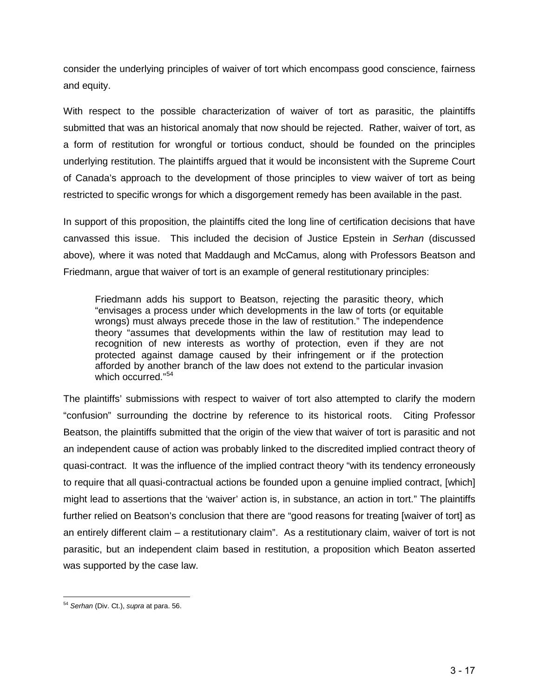consider the underlying principles of waiver of tort which encompass good conscience, fairness and equity.

With respect to the possible characterization of waiver of tort as parasitic, the plaintiffs submitted that was an historical anomaly that now should be rejected. Rather, waiver of tort, as a form of restitution for wrongful or tortious conduct, should be founded on the principles underlying restitution. The plaintiffs argued that it would be inconsistent with the Supreme Court of Canada's approach to the development of those principles to view waiver of tort as being restricted to specific wrongs for which a disgorgement remedy has been available in the past.

In support of this proposition, the plaintiffs cited the long line of certification decisions that have canvassed this issue. This included the decision of Justice Epstein in *Serhan* (discussed above)*,* where it was noted that Maddaugh and McCamus, along with Professors Beatson and Friedmann, argue that waiver of tort is an example of general restitutionary principles:

Friedmann adds his support to Beatson, rejecting the parasitic theory, which "envisages a process under which developments in the law of torts (or equitable wrongs) must always precede those in the law of restitution." The independence theory "assumes that developments within the law of restitution may lead to recognition of new interests as worthy of protection, even if they are not protected against damage caused by their infringement or if the protection afforded by another branch of the law does not extend to the particular invasion which occurred." [54](#page-17-0)

The plaintiffs' submissions with respect to waiver of tort also attempted to clarify the modern "confusion" surrounding the doctrine by reference to its historical roots. Citing Professor Beatson, the plaintiffs submitted that the origin of the view that waiver of tort is parasitic and not an independent cause of action was probably linked to the discredited implied contract theory of quasi-contract. It was the influence of the implied contract theory "with its tendency erroneously to require that all quasi-contractual actions be founded upon a genuine implied contract, [which] might lead to assertions that the 'waiver' action is, in substance, an action in tort." The plaintiffs further relied on Beatson's conclusion that there are "good reasons for treating [waiver of tort] as an entirely different claim – a restitutionary claim". As a restitutionary claim, waiver of tort is not parasitic, but an independent claim based in restitution, a proposition which Beaton asserted was supported by the case law.

<span id="page-17-0"></span><sup>54</sup> *Serhan* (Div. Ct.), *supra* at para. 56.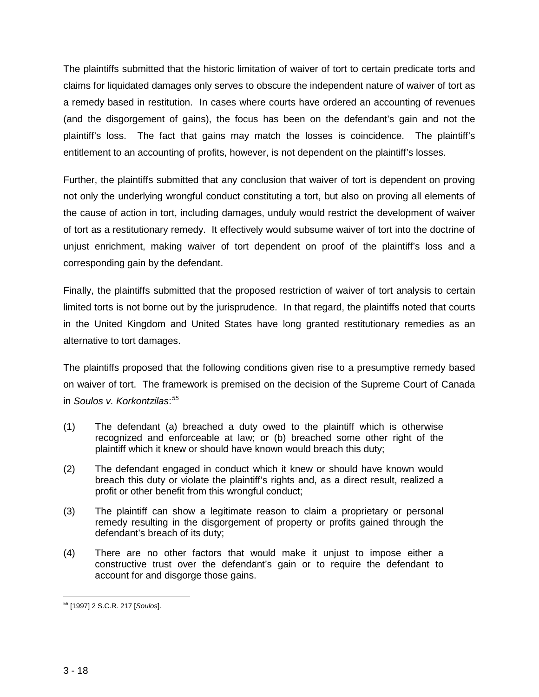The plaintiffs submitted that the historic limitation of waiver of tort to certain predicate torts and claims for liquidated damages only serves to obscure the independent nature of waiver of tort as a remedy based in restitution. In cases where courts have ordered an accounting of revenues (and the disgorgement of gains), the focus has been on the defendant's gain and not the plaintiff's loss. The fact that gains may match the losses is coincidence. The plaintiff's entitlement to an accounting of profits, however, is not dependent on the plaintiff's losses.

Further, the plaintiffs submitted that any conclusion that waiver of tort is dependent on proving not only the underlying wrongful conduct constituting a tort, but also on proving all elements of the cause of action in tort, including damages, unduly would restrict the development of waiver of tort as a restitutionary remedy. It effectively would subsume waiver of tort into the doctrine of unjust enrichment, making waiver of tort dependent on proof of the plaintiff's loss and a corresponding gain by the defendant.

Finally, the plaintiffs submitted that the proposed restriction of waiver of tort analysis to certain limited torts is not borne out by the jurisprudence. In that regard, the plaintiffs noted that courts in the United Kingdom and United States have long granted restitutionary remedies as an alternative to tort damages.

The plaintiffs proposed that the following conditions given rise to a presumptive remedy based on waiver of tort. The framework is premised on the decision of the Supreme Court of Canada in *Soulos v. Korkontzilas*: *[55](#page-18-0)*

- (1) The defendant (a) breached a duty owed to the plaintiff which is otherwise recognized and enforceable at law; or (b) breached some other right of the plaintiff which it knew or should have known would breach this duty;
- (2) The defendant engaged in conduct which it knew or should have known would breach this duty or violate the plaintiff's rights and, as a direct result, realized a profit or other benefit from this wrongful conduct;
- (3) The plaintiff can show a legitimate reason to claim a proprietary or personal remedy resulting in the disgorgement of property or profits gained through the defendant's breach of its duty;
- (4) There are no other factors that would make it unjust to impose either a constructive trust over the defendant's gain or to require the defendant to account for and disgorge those gains.

<span id="page-18-0"></span>l <sup>55</sup> [1997] 2 S.C.R. 217 [*Soulos*].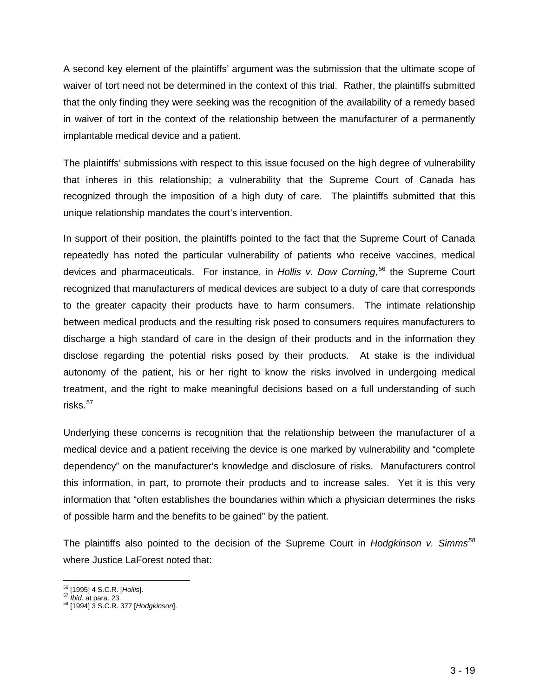A second key element of the plaintiffs' argument was the submission that the ultimate scope of waiver of tort need not be determined in the context of this trial. Rather, the plaintiffs submitted that the only finding they were seeking was the recognition of the availability of a remedy based in waiver of tort in the context of the relationship between the manufacturer of a permanently implantable medical device and a patient.

The plaintiffs' submissions with respect to this issue focused on the high degree of vulnerability that inheres in this relationship; a vulnerability that the Supreme Court of Canada has recognized through the imposition of a high duty of care. The plaintiffs submitted that this unique relationship mandates the court's intervention.

In support of their position, the plaintiffs pointed to the fact that the Supreme Court of Canada repeatedly has noted the particular vulnerability of patients who receive vaccines, medical devices and pharmaceuticals. For instance, in *Hollis v. Dow Corning,*[56](#page-19-0) the Supreme Court recognized that manufacturers of medical devices are subject to a duty of care that corresponds to the greater capacity their products have to harm consumers. The intimate relationship between medical products and the resulting risk posed to consumers requires manufacturers to discharge a high standard of care in the design of their products and in the information they disclose regarding the potential risks posed by their products. At stake is the individual autonomy of the patient, his or her right to know the risks involved in undergoing medical treatment, and the right to make meaningful decisions based on a full understanding of such risks. $57$ 

Underlying these concerns is recognition that the relationship between the manufacturer of a medical device and a patient receiving the device is one marked by vulnerability and "complete dependency" on the manufacturer's knowledge and disclosure of risks. Manufacturers control this information, in part, to promote their products and to increase sales. Yet it is this very information that "often establishes the boundaries within which a physician determines the risks of possible harm and the benefits to be gained" by the patient.

The plaintiffs also pointed to the decision of the Supreme Court in *Hodgkinson v. Simms[58](#page-19-2)* where Justice LaForest noted that:

<span id="page-19-2"></span><span id="page-19-1"></span>

<span id="page-19-0"></span><sup>&</sup>lt;sup>56</sup> [1995] 4 S.C.R. [*Hollis*].<br><sup>57</sup> *Ibid.* at para. 23.<br><sup>58</sup> [1994] 3 S.C.R. 377 [*Hodgkinson*].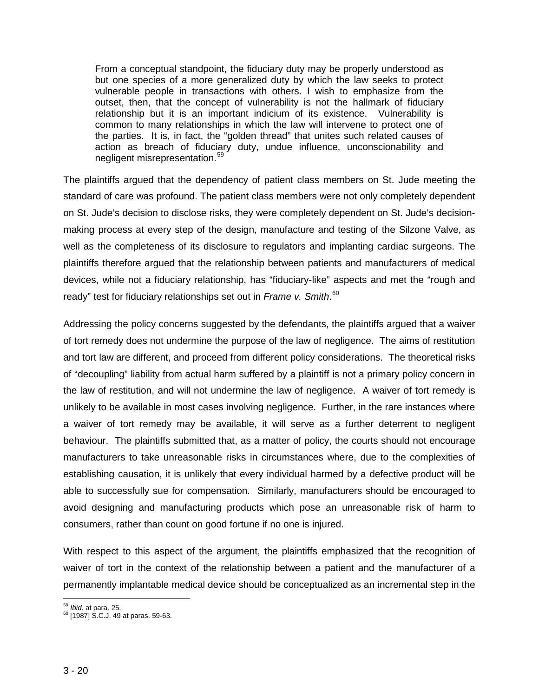From a conceptual standpoint, the fiduciary duty may be properly understood as but one species of a more generalized duty by which the law seeks to protect vulnerable people in transactions with others. I wish to emphasize from the outset, then, that the concept of vulnerability is not the hallmark of fiduciary relationship but it is an important indicium of its existence. Vulnerability is common to many relationships in which the law will intervene to protect one of the parties. It is, in fact, the "golden thread" that unites such related causes of action as breach of fiduciary duty, undue influence, unconscionability and negligent misrepresentation.<sup>[59](#page-20-0)</sup>

The plaintiffs argued that the dependency of patient class members on St. Jude meeting the standard of care was profound. The patient class members were not only completely dependent on St. Jude's decision to disclose risks, they were completely dependent on St. Jude's decisionmaking process at every step of the design, manufacture and testing of the Silzone Valve, as well as the completeness of its disclosure to regulators and implanting cardiac surgeons. The plaintiffs therefore argued that the relationship between patients and manufacturers of medical devices, while not a fiduciary relationship, has "fiduciary-like" aspects and met the "rough and ready" test for fiduciary relationships set out in *Frame v. Smith*. [60](#page-20-1)

Addressing the policy concerns suggested by the defendants, the plaintiffs argued that a waiver of tort remedy does not undermine the purpose of the law of negligence. The aims of restitution and tort law are different, and proceed from different policy considerations. The theoretical risks of "decoupling" liability from actual harm suffered by a plaintiff is not a primary policy concern in the law of restitution, and will not undermine the law of negligence. A waiver of tort remedy is unlikely to be available in most cases involving negligence. Further, in the rare instances where a waiver of tort remedy may be available, it will serve as a further deterrent to negligent behaviour. The plaintiffs submitted that, as a matter of policy, the courts should not encourage manufacturers to take unreasonable risks in circumstances where, due to the complexities of establishing causation, it is unlikely that every individual harmed by a defective product will be able to successfully sue for compensation. Similarly, manufacturers should be encouraged to avoid designing and manufacturing products which pose an unreasonable risk of harm to consumers, rather than count on good fortune if no one is injured.

With respect to this aspect of the argument, the plaintiffs emphasized that the recognition of waiver of tort in the context of the relationship between a patient and the manufacturer of a permanently implantable medical device should be conceptualized as an incremental step in the

<span id="page-20-1"></span><span id="page-20-0"></span><sup>&</sup>lt;sup>59</sup> *Ibid.* at para. 25.<br><sup>60</sup> [1987] S.C.J. 49 at paras. 59-63.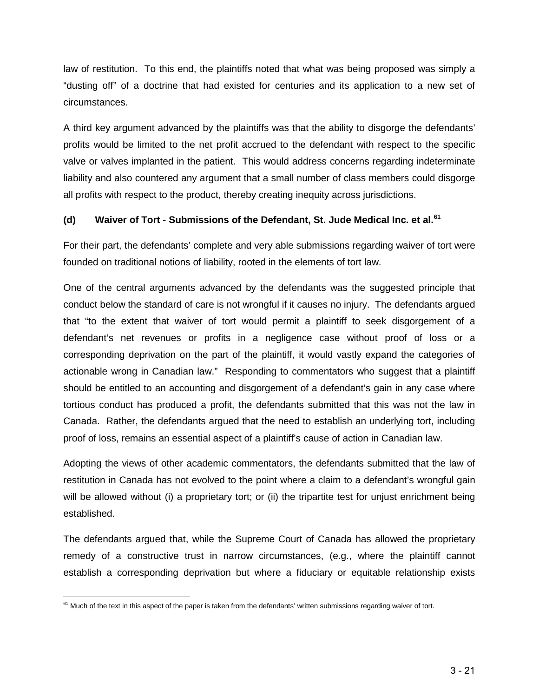law of restitution. To this end, the plaintiffs noted that what was being proposed was simply a "dusting off" of a doctrine that had existed for centuries and its application to a new set of circumstances.

A third key argument advanced by the plaintiffs was that the ability to disgorge the defendants' profits would be limited to the net profit accrued to the defendant with respect to the specific valve or valves implanted in the patient. This would address concerns regarding indeterminate liability and also countered any argument that a small number of class members could disgorge all profits with respect to the product, thereby creating inequity across jurisdictions.

# **(d) Waiver of Tort - Submissions of the Defendant, St. Jude Medical Inc. et al.[61](#page-21-0)**

For their part, the defendants' complete and very able submissions regarding waiver of tort were founded on traditional notions of liability, rooted in the elements of tort law.

One of the central arguments advanced by the defendants was the suggested principle that conduct below the standard of care is not wrongful if it causes no injury. The defendants argued that "to the extent that waiver of tort would permit a plaintiff to seek disgorgement of a defendant's net revenues or profits in a negligence case without proof of loss or a corresponding deprivation on the part of the plaintiff, it would vastly expand the categories of actionable wrong in Canadian law." Responding to commentators who suggest that a plaintiff should be entitled to an accounting and disgorgement of a defendant's gain in any case where tortious conduct has produced a profit, the defendants submitted that this was not the law in Canada. Rather, the defendants argued that the need to establish an underlying tort, including proof of loss, remains an essential aspect of a plaintiff's cause of action in Canadian law.

Adopting the views of other academic commentators, the defendants submitted that the law of restitution in Canada has not evolved to the point where a claim to a defendant's wrongful gain will be allowed without (i) a proprietary tort; or (ii) the tripartite test for unjust enrichment being established.

The defendants argued that, while the Supreme Court of Canada has allowed the proprietary remedy of a constructive trust in narrow circumstances, (e.g., where the plaintiff cannot establish a corresponding deprivation but where a fiduciary or equitable relationship exists

<span id="page-21-0"></span> $61$  Much of the text in this aspect of the paper is taken from the defendants' written submissions regarding waiver of tort.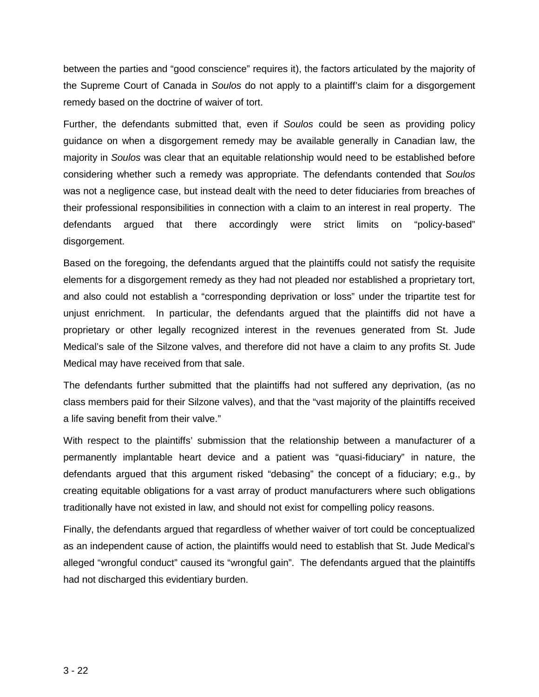between the parties and "good conscience" requires it), the factors articulated by the majority of the Supreme Court of Canada in *Soulos* do not apply to a plaintiff's claim for a disgorgement remedy based on the doctrine of waiver of tort.

Further, the defendants submitted that, even if *Soulos* could be seen as providing policy guidance on when a disgorgement remedy may be available generally in Canadian law, the majority in *Soulos* was clear that an equitable relationship would need to be established before considering whether such a remedy was appropriate. The defendants contended that *Soulos*  was not a negligence case, but instead dealt with the need to deter fiduciaries from breaches of their professional responsibilities in connection with a claim to an interest in real property. The defendants argued that there accordingly were strict limits on "policy-based" disgorgement.

Based on the foregoing, the defendants argued that the plaintiffs could not satisfy the requisite elements for a disgorgement remedy as they had not pleaded nor established a proprietary tort, and also could not establish a "corresponding deprivation or loss" under the tripartite test for unjust enrichment. In particular, the defendants argued that the plaintiffs did not have a proprietary or other legally recognized interest in the revenues generated from St. Jude Medical's sale of the Silzone valves, and therefore did not have a claim to any profits St. Jude Medical may have received from that sale.

The defendants further submitted that the plaintiffs had not suffered any deprivation, (as no class members paid for their Silzone valves), and that the "vast majority of the plaintiffs received a life saving benefit from their valve."

With respect to the plaintiffs' submission that the relationship between a manufacturer of a permanently implantable heart device and a patient was "quasi-fiduciary" in nature, the defendants argued that this argument risked "debasing" the concept of a fiduciary; e.g., by creating equitable obligations for a vast array of product manufacturers where such obligations traditionally have not existed in law, and should not exist for compelling policy reasons.

Finally, the defendants argued that regardless of whether waiver of tort could be conceptualized as an independent cause of action, the plaintiffs would need to establish that St. Jude Medical's alleged "wrongful conduct" caused its "wrongful gain". The defendants argued that the plaintiffs had not discharged this evidentiary burden.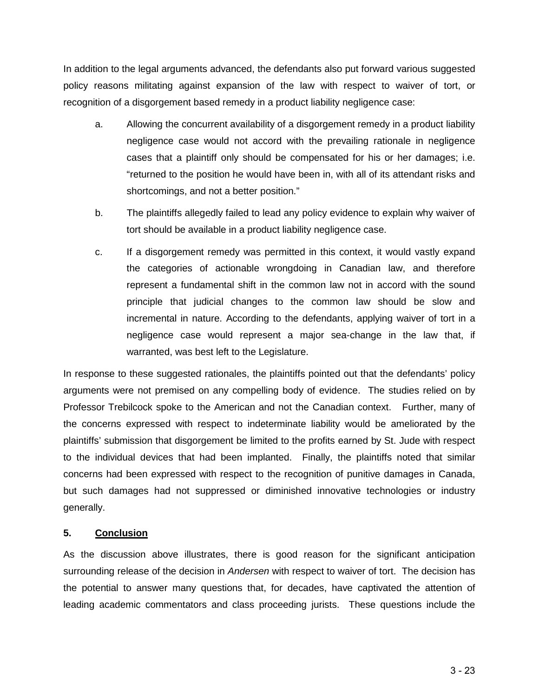In addition to the legal arguments advanced, the defendants also put forward various suggested policy reasons militating against expansion of the law with respect to waiver of tort, or recognition of a disgorgement based remedy in a product liability negligence case:

- a. Allowing the concurrent availability of a disgorgement remedy in a product liability negligence case would not accord with the prevailing rationale in negligence cases that a plaintiff only should be compensated for his or her damages; i.e. "returned to the position he would have been in, with all of its attendant risks and shortcomings, and not a better position."
- b. The plaintiffs allegedly failed to lead any policy evidence to explain why waiver of tort should be available in a product liability negligence case.
- c. If a disgorgement remedy was permitted in this context, it would vastly expand the categories of actionable wrongdoing in Canadian law, and therefore represent a fundamental shift in the common law not in accord with the sound principle that judicial changes to the common law should be slow and incremental in nature. According to the defendants, applying waiver of tort in a negligence case would represent a major sea-change in the law that, if warranted, was best left to the Legislature.

In response to these suggested rationales, the plaintiffs pointed out that the defendants' policy arguments were not premised on any compelling body of evidence. The studies relied on by Professor Trebilcock spoke to the American and not the Canadian context. Further, many of the concerns expressed with respect to indeterminate liability would be ameliorated by the plaintiffs' submission that disgorgement be limited to the profits earned by St. Jude with respect to the individual devices that had been implanted. Finally, the plaintiffs noted that similar concerns had been expressed with respect to the recognition of punitive damages in Canada, but such damages had not suppressed or diminished innovative technologies or industry generally.

# **5. Conclusion**

As the discussion above illustrates, there is good reason for the significant anticipation surrounding release of the decision in *Andersen* with respect to waiver of tort. The decision has the potential to answer many questions that, for decades, have captivated the attention of leading academic commentators and class proceeding jurists. These questions include the